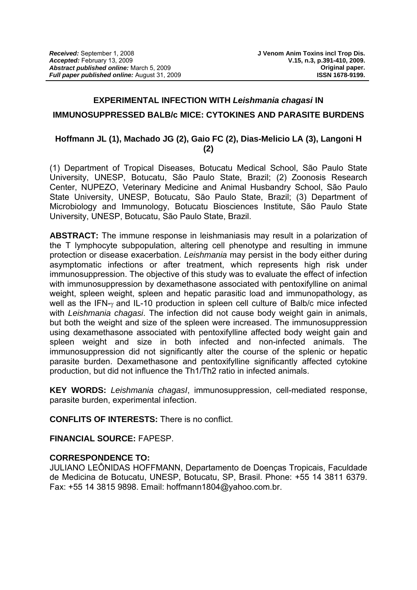#### **EXPERIMENTAL INFECTION WITH** *Leishmania chagasi* **IN**

#### **IMMUNOSUPPRESSED BALB/c MICE: CYTOKINES AND PARASITE BURDENS**

### **Hoffmann JL (1), Machado JG (2), Gaio FC (2), Dias-Melicio LA (3), Langoni H (2)**

(1) Department of Tropical Diseases, Botucatu Medical School, São Paulo State University, UNESP, Botucatu, São Paulo State, Brazil; (2) Zoonosis Research Center, NUPEZO, Veterinary Medicine and Animal Husbandry School, São Paulo State University, UNESP, Botucatu, São Paulo State, Brazil; (3) Department of Microbiology and Immunology, Botucatu Biosciences Institute, São Paulo State University, UNESP, Botucatu, São Paulo State, Brazil.

**ABSTRACT:** The immune response in leishmaniasis may result in a polarization of the T lymphocyte subpopulation, altering cell phenotype and resulting in immune protection or disease exacerbation. *Leishmania* may persist in the body either during asymptomatic infections or after treatment, which represents high risk under immunosuppression. The objective of this study was to evaluate the effect of infection with immunosuppression by dexamethasone associated with pentoxifylline on animal weight, spleen weight, spleen and hepatic parasitic load and immunopathology, as well as the IFN-γ and IL-10 production in spleen cell culture of Balb/c mice infected with *Leishmania chagasi*. The infection did not cause body weight gain in animals, but both the weight and size of the spleen were increased. The immunosuppression using dexamethasone associated with pentoxifylline affected body weight gain and spleen weight and size in both infected and non-infected animals. The immunosuppression did not significantly alter the course of the splenic or hepatic parasite burden. Dexamethasone and pentoxifylline significantly affected cytokine production, but did not influence the Th1/Th2 ratio in infected animals.

**KEY WORDS:** *Leishmania chagasI*, immunosuppression, cell-mediated response, parasite burden, experimental infection.

**CONFLITS OF INTERESTS:** There is no conflict.

**FINANCIAL SOURCE:** FAPESP.

#### **CORRESPONDENCE TO:**

JULIANO LEÔNIDAS HOFFMANN, Departamento de Doenças Tropicais, Faculdade de Medicina de Botucatu, UNESP, Botucatu, SP, Brasil. Phone: +55 14 3811 6379. Fax: +55 14 3815 9898. Email: [hoffmann1804@yahoo.com.br](mailto:hoffmann1804@yahoo.com.br).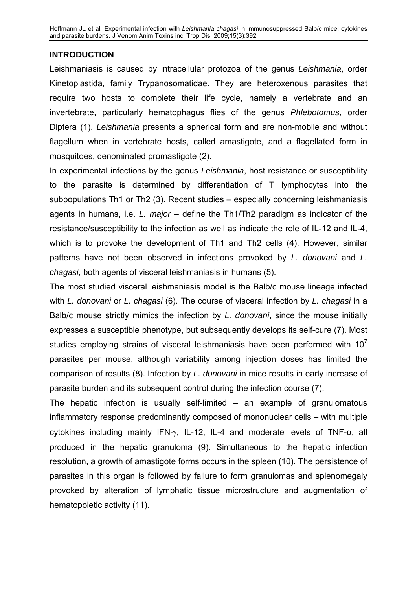## **INTRODUCTION**

Leishmaniasis is caused by intracellular protozoa of the genus *Leishmania*, order Kinetoplastida, family Trypanosomatidae. They are heteroxenous parasites that require two hosts to complete their life cycle, namely a vertebrate and an invertebrate, particularly hematophagus flies of the genus *Phlebotomus*, order Diptera (1). *Leishmania* presents a spherical form and are non-mobile and without flagellum when in vertebrate hosts, called amastigote, and a flagellated form in mosquitoes, denominated promastigote (2).

In experimental infections by the genus *Leishmania*, host resistance or susceptibility to the parasite is determined by differentiation of T lymphocytes into the subpopulations Th1 or Th2 (3). Recent studies – especially concerning leishmaniasis agents in humans, i.e. *L. major* – define the Th1/Th2 paradigm as indicator of the resistance/susceptibility to the infection as well as indicate the role of IL-12 and IL-4, which is to provoke the development of Th1 and Th2 cells (4). However, similar patterns have not been observed in infections provoked by *L. donovani* and *L. chagasi*, both agents of visceral leishmaniasis in humans (5).

The most studied visceral leishmaniasis model is the Balb/c mouse lineage infected with *L. donovani* or *L. chagasi* (6). The course of visceral infection by *L. chagasi* in a Balb/c mouse strictly mimics the infection by *L. donovani*, since the mouse initially expresses a susceptible phenotype, but subsequently develops its self-cure (7). Most studies employing strains of visceral leishmaniasis have been performed with  $10<sup>7</sup>$ parasites per mouse, although variability among injection doses has limited the comparison of results (8). Infection by *L. donovani* in mice results in early increase of parasite burden and its subsequent control during the infection course (7).

The hepatic infection is usually self-limited – an example of granulomatous inflammatory response predominantly composed of mononuclear cells – with multiple cytokines including mainly IFN-γ, IL-12, IL-4 and moderate levels of TNF-α, all produced in the hepatic granuloma (9). Simultaneous to the hepatic infection resolution, a growth of amastigote forms occurs in the spleen (10). The persistence of parasites in this organ is followed by failure to form granulomas and splenomegaly provoked by alteration of lymphatic tissue microstructure and augmentation of hematopoietic activity (11).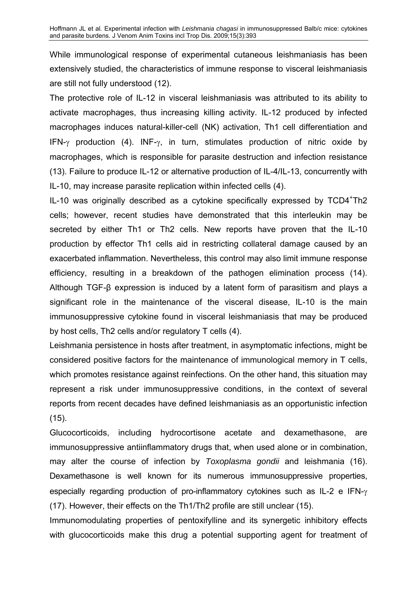While immunological response of experimental cutaneous leishmaniasis has been extensively studied, the characteristics of immune response to visceral leishmaniasis are still not fully understood (12).

The protective role of IL-12 in visceral leishmaniasis was attributed to its ability to activate macrophages, thus increasing killing activity. IL-12 produced by infected macrophages induces natural-killer-cell (NK) activation, Th1 cell differentiation and IFN-γ production (4). INF-γ, in turn, stimulates production of nitric oxide by macrophages, which is responsible for parasite destruction and infection resistance (13). Failure to produce IL-12 or alternative production of IL-4/IL-13, concurrently with IL-10, may increase parasite replication within infected cells (4).

IL-10 was originally described as a cytokine specifically expressed by TCD4+Th2 cells; however, recent studies have demonstrated that this interleukin may be secreted by either Th1 or Th2 cells. New reports have proven that the IL-10 production by effector Th1 cells aid in restricting collateral damage caused by an exacerbated inflammation. Nevertheless, this control may also limit immune response efficiency, resulting in a breakdown of the pathogen elimination process (14). Although TGF-β expression is induced by a latent form of parasitism and plays a significant role in the maintenance of the visceral disease, IL-10 is the main immunosuppressive cytokine found in visceral leishmaniasis that may be produced by host cells, Th2 cells and/or regulatory T cells (4).

Leishmania persistence in hosts after treatment, in asymptomatic infections, might be considered positive factors for the maintenance of immunological memory in T cells, which promotes resistance against reinfections. On the other hand, this situation may represent a risk under immunosuppressive conditions, in the context of several reports from recent decades have defined leishmaniasis as an opportunistic infection  $(15)$ .

Glucocorticoids, including hydrocortisone acetate and dexamethasone, are immunosuppressive antiinflammatory drugs that, when used alone or in combination, may alter the course of infection by *Toxoplasma gondii* and leishmania (16). Dexamethasone is well known for its numerous immunosuppressive properties, especially regarding production of pro-inflammatory cytokines such as IL-2 e IFN-γ (17). However, their effects on the Th1/Th2 profile are still unclear (15).

Immunomodulating properties of pentoxifylline and its synergetic inhibitory effects with glucocorticoids make this drug a potential supporting agent for treatment of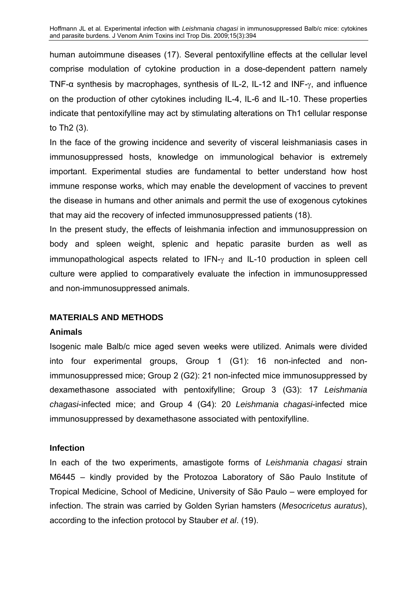human autoimmune diseases (17). Several pentoxifylline effects at the cellular level comprise modulation of cytokine production in a dose-dependent pattern namely TNF-α synthesis by macrophages, synthesis of IL-2, IL-12 and INF-γ, and influence on the production of other cytokines including IL-4, IL-6 and IL-10. These properties indicate that pentoxifylline may act by stimulating alterations on Th1 cellular response to Th2 (3).

In the face of the growing incidence and severity of visceral leishmaniasis cases in immunosuppressed hosts, knowledge on immunological behavior is extremely important. Experimental studies are fundamental to better understand how host immune response works, which may enable the development of vaccines to prevent the disease in humans and other animals and permit the use of exogenous cytokines that may aid the recovery of infected immunosuppressed patients (18).

In the present study, the effects of leishmania infection and immunosuppression on body and spleen weight, splenic and hepatic parasite burden as well as immunopathological aspects related to IFN-γ and IL-10 production in spleen cell culture were applied to comparatively evaluate the infection in immunosuppressed and non-immunosuppressed animals.

#### **MATERIALS AND METHODS**

#### **Animals**

Isogenic male Balb/c mice aged seven weeks were utilized. Animals were divided into four experimental groups, Group 1 (G1): 16 non-infected and nonimmunosuppressed mice; Group 2 (G2): 21 non-infected mice immunosuppressed by dexamethasone associated with pentoxifylline; Group 3 (G3): 17 *Leishmania chagasi*-infected mice; and Group 4 (G4): 20 *Leishmania chagasi*-infected mice immunosuppressed by dexamethasone associated with pentoxifylline.

## **Infection**

In each of the two experiments, amastigote forms of *Leishmania chagasi* strain M6445 – kindly provided by the Protozoa Laboratory of São Paulo Institute of Tropical Medicine, School of Medicine, University of São Paulo – were employed for infection. The strain was carried by Golden Syrian hamsters (*Mesocricetus auratus*), according to the infection protocol by Stauber *et al*. (19).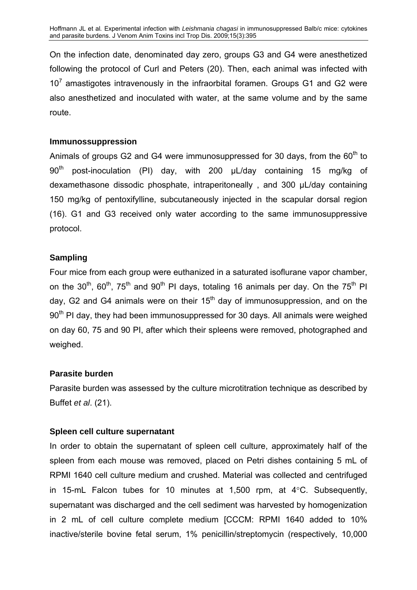On the infection date, denominated day zero, groups G3 and G4 were anesthetized following the protocol of Curl and Peters (20). Then, each animal was infected with  $10<sup>7</sup>$  amastigotes intravenously in the infraorbital foramen. Groups G1 and G2 were also anesthetized and inoculated with water, at the same volume and by the same route.

### **Immunossuppression**

Animals of groups G2 and G4 were immunosuppressed for 30 days, from the  $60<sup>th</sup>$  to  $90<sup>th</sup>$  post-inoculation (PI) day, with 200  $\mu$ L/day containing 15 mg/kg of dexamethasone dissodic phosphate, intraperitoneally , and 300 µL/day containing 150 mg/kg of pentoxifylline, subcutaneously injected in the scapular dorsal region (16). G1 and G3 received only water according to the same immunosuppressive protocol.

### **Sampling**

Four mice from each group were euthanized in a saturated isoflurane vapor chamber, on the 30<sup>th</sup>, 60<sup>th</sup>, 75<sup>th</sup> and 90<sup>th</sup> PI days, totaling 16 animals per day. On the 75<sup>th</sup> PI day, G2 and G4 animals were on their  $15<sup>th</sup>$  day of immunosuppression, and on the 90<sup>th</sup> PI day, they had been immunosuppressed for 30 days. All animals were weighed on day 60, 75 and 90 PI, after which their spleens were removed, photographed and weighed.

## **Parasite burden**

Parasite burden was assessed by the culture microtitration technique as described by Buffet *et al*. (21).

## **Spleen cell culture supernatant**

In order to obtain the supernatant of spleen cell culture, approximately half of the spleen from each mouse was removed, placed on Petri dishes containing 5 mL of RPMI 1640 cell culture medium and crushed. Material was collected and centrifuged in 15-mL Falcon tubes for 10 minutes at 1,500 rpm, at 4°C. Subsequently, supernatant was discharged and the cell sediment was harvested by homogenization in 2 mL of cell culture complete medium [CCCM: RPMI 1640 added to 10% inactive/sterile bovine fetal serum, 1% penicillin/streptomycin (respectively, 10,000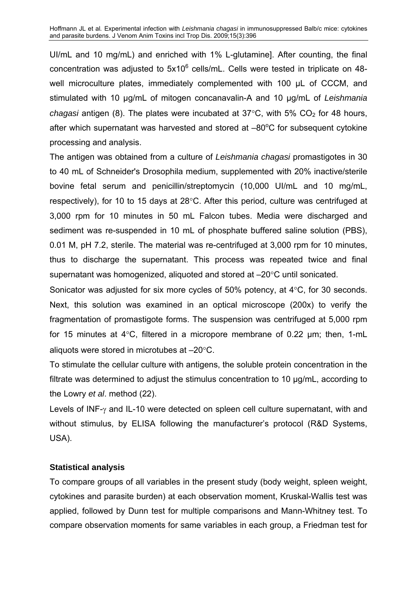UI/mL and 10 mg/mL) and enriched with 1% L-glutamine]. After counting, the final concentration was adjusted to  $5x10^6$  cells/mL. Cells were tested in triplicate on 48well microculture plates, immediately complemented with 100 µL of CCCM, and stimulated with 10 µg/mL of mitogen concanavalin-A and 10 µg/mL of *Leishmania chagasi* antigen (8). The plates were incubated at  $37^{\circ}$ C, with  $5\%$  CO<sub>2</sub> for 48 hours, after which supernatant was harvested and stored at  $-80^{\circ}$ C for subsequent cytokine processing and analysis.

The antigen was obtained from a culture of *Leishmania chagasi* promastigotes in 30 to 40 mL of Schneider's Drosophila medium, supplemented with 20% inactive/sterile bovine fetal serum and penicillin/streptomycin (10,000 UI/mL and 10 mg/mL, respectively), for 10 to 15 days at 28°C. After this period, culture was centrifuged at 3,000 rpm for 10 minutes in 50 mL Falcon tubes. Media were discharged and sediment was re-suspended in 10 mL of phosphate buffered saline solution (PBS), 0.01 M, pH 7.2, sterile. The material was re-centrifuged at 3,000 rpm for 10 minutes, thus to discharge the supernatant. This process was repeated twice and final supernatant was homogenized, aliquoted and stored at –20°C until sonicated.

Sonicator was adjusted for six more cycles of 50% potency, at 4°C, for 30 seconds. Next, this solution was examined in an optical microscope (200x) to verify the fragmentation of promastigote forms. The suspension was centrifuged at 5,000 rpm for 15 minutes at 4°C, filtered in a micropore membrane of 0.22 µm; then, 1-mL aliquots were stored in microtubes at –20°C.

To stimulate the cellular culture with antigens, the soluble protein concentration in the filtrate was determined to adjust the stimulus concentration to 10 µg/mL, according to the Lowry *et al*. method (22).

Levels of INF-γ and IL-10 were detected on spleen cell culture supernatant, with and without stimulus, by ELISA following the manufacturer's protocol (R&D Systems, USA).

## **Statistical analysis**

To compare groups of all variables in the present study (body weight, spleen weight, cytokines and parasite burden) at each observation moment, Kruskal-Wallis test was applied, followed by Dunn test for multiple comparisons and Mann-Whitney test. To compare observation moments for same variables in each group, a Friedman test for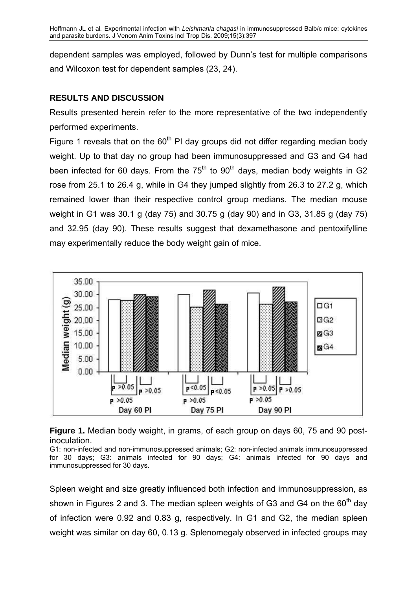dependent samples was employed, followed by Dunn's test for multiple comparisons and Wilcoxon test for dependent samples (23, 24).

## **RESULTS AND DISCUSSION**

Results presented herein refer to the more representative of the two independently performed experiments.

Figure 1 reveals that on the  $60<sup>th</sup>$  PI day groups did not differ regarding median body weight. Up to that day no group had been immunosuppressed and G3 and G4 had been infected for 60 days. From the  $75<sup>th</sup>$  to  $90<sup>th</sup>$  days, median body weights in G2 rose from 25.1 to 26.4 g, while in G4 they jumped slightly from 26.3 to 27.2 g, which remained lower than their respective control group medians. The median mouse weight in G1 was 30.1 g (day 75) and 30.75 g (day 90) and in G3, 31.85 g (day 75) and 32.95 (day 90). These results suggest that dexamethasone and pentoxifylline may experimentally reduce the body weight gain of mice.



**Figure 1.** Median body weight, in grams, of each group on days 60, 75 and 90 postinoculation.

G1: non-infected and non-immunosuppressed animals; G2: non-infected animals immunosuppressed for 30 days; G3: animals infected for 90 days; G4: animals infected for 90 days and immunosuppressed for 30 days.

Spleen weight and size greatly influenced both infection and immunosuppression, as shown in Figures 2 and 3. The median spleen weights of G3 and G4 on the  $60<sup>th</sup>$  day of infection were 0.92 and 0.83 g, respectively. In G1 and G2, the median spleen weight was similar on day 60, 0.13 g. Splenomegaly observed in infected groups may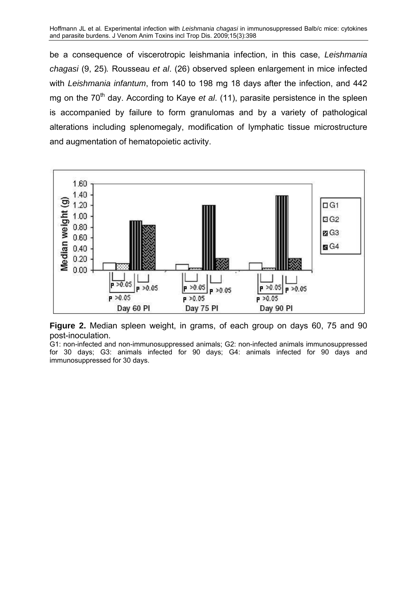be a consequence of viscerotropic leishmania infection, in this case, *Leishmania chagasi* (9, 25)*.* Rousseau *et al*. (26) observed spleen enlargement in mice infected with *Leishmania infantum*, from 140 to 198 mg 18 days after the infection, and 442 mg on the 70<sup>th</sup> day. According to Kaye *et al.* (11), parasite persistence in the spleen is accompanied by failure to form granulomas and by a variety of pathological alterations including splenomegaly, modification of lymphatic tissue microstructure and augmentation of hematopoietic activity.



**Figure 2.** Median spleen weight, in grams, of each group on days 60, 75 and 90 post-inoculation.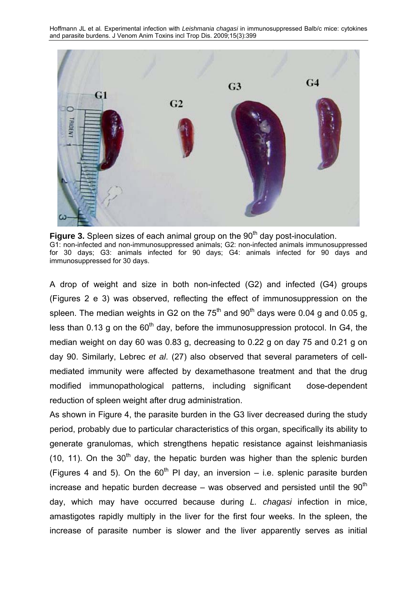

**Figure 3.** Spleen sizes of each animal group on the 90<sup>th</sup> day post-inoculation. G1: non-infected and non-immunosuppressed animals; G2: non-infected animals immunosuppressed for 30 days; G3: animals infected for 90 days; G4: animals infected for 90 days and immunosuppressed for 30 days.

A drop of weight and size in both non-infected (G2) and infected (G4) groups (Figures 2 e 3) was observed, reflecting the effect of immunosuppression on the spleen. The median weights in G2 on the  $75<sup>th</sup>$  and  $90<sup>th</sup>$  days were 0.04 g and 0.05 g, less than 0.13 g on the  $60<sup>th</sup>$  day, before the immunosuppression protocol. In G4, the median weight on day 60 was 0.83 g, decreasing to 0.22 g on day 75 and 0.21 g on day 90. Similarly, Lebrec *et al*. (27) also observed that several parameters of cellmediated immunity were affected by dexamethasone treatment and that the drug modified immunopathological patterns, including significant dose-dependent reduction of spleen weight after drug administration.

As shown in Figure 4, the parasite burden in the G3 liver decreased during the study period, probably due to particular characteristics of this organ, specifically its ability to generate granulomas, which strengthens hepatic resistance against leishmaniasis (10, 11). On the  $30<sup>th</sup>$  day, the hepatic burden was higher than the splenic burden (Figures 4 and 5). On the  $60<sup>th</sup>$  PI day, an inversion – i.e. splenic parasite burden increase and hepatic burden decrease – was observed and persisted until the  $90<sup>th</sup>$ day, which may have occurred because during *L. chagasi* infection in mice, amastigotes rapidly multiply in the liver for the first four weeks. In the spleen, the increase of parasite number is slower and the liver apparently serves as initial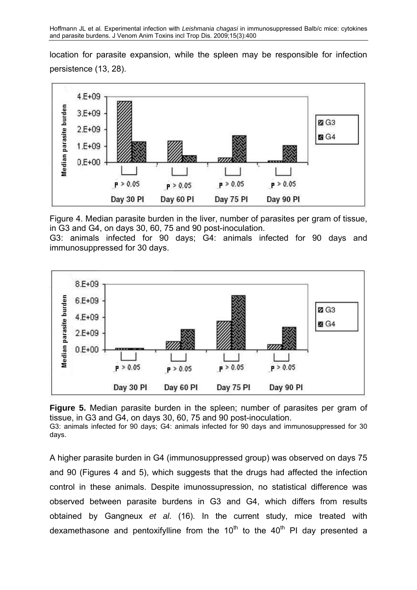location for parasite expansion, while the spleen may be responsible for infection persistence (13, 28).



Figure 4. Median parasite burden in the liver, number of parasites per gram of tissue, in G3 and G4, on days 30, 60, 75 and 90 post-inoculation.

G3: animals infected for 90 days; G4: animals infected for 90 days and immunosuppressed for 30 days.



**Figure 5.** Median parasite burden in the spleen; number of parasites per gram of tissue, in G3 and G4, on days 30, 60, 75 and 90 post-inoculation. G3: animals infected for 90 days; G4: animals infected for 90 days and immunosuppressed for 30 days.

A higher parasite burden in G4 (immunosuppressed group) was observed on days 75 and 90 (Figures 4 and 5), which suggests that the drugs had affected the infection control in these animals. Despite imunossupression, no statistical difference was observed between parasite burdens in G3 and G4, which differs from results obtained by Gangneux *et al*. (16). In the current study, mice treated with dexamethasone and pentoxifylline from the  $10<sup>th</sup>$  to the  $40<sup>th</sup>$  PI day presented a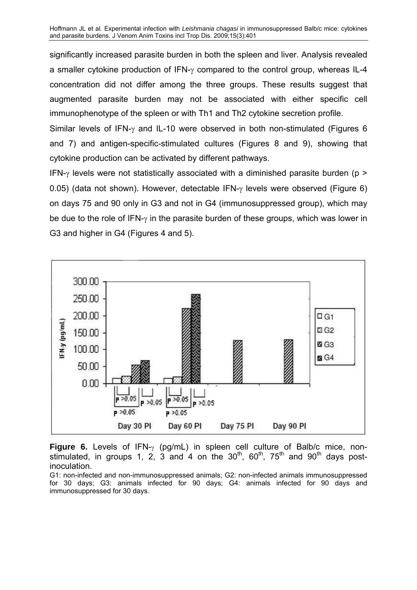significantly increased parasite burden in both the spleen and liver. Analysis revealed a smaller cytokine production of IFN-γ compared to the control group, whereas IL-4 concentration did not differ among the three groups. These results suggest that augmented parasite burden may not be associated with either specific cell immunophenotype of the spleen or with Th1 and Th2 cytokine secretion profile.

Similar levels of IFN-γ and IL-10 were observed in both non-stimulated (Figures 6 and 7) and antigen-specific-stimulated cultures (Figures 8 and 9), showing that cytokine production can be activated by different pathways.

IFN- $\gamma$  levels were not statistically associated with a diminished parasite burden (p > 0.05) (data not shown). However, detectable IFN-γ levels were observed (Figure 6) on days 75 and 90 only in G3 and not in G4 (immunosuppressed group), which may be due to the role of IFN-γ in the parasite burden of these groups, which was lower in G3 and higher in G4 (Figures 4 and 5).



**Figure 6.** Levels of IFN-γ (pg/mL) in spleen cell culture of Balb/c mice, nonstimulated, in groups 1, 2, 3 and 4 on the  $30<sup>th</sup>$ , 60<sup>th</sup>, 75<sup>th</sup> and 90<sup>th</sup> days postinoculation.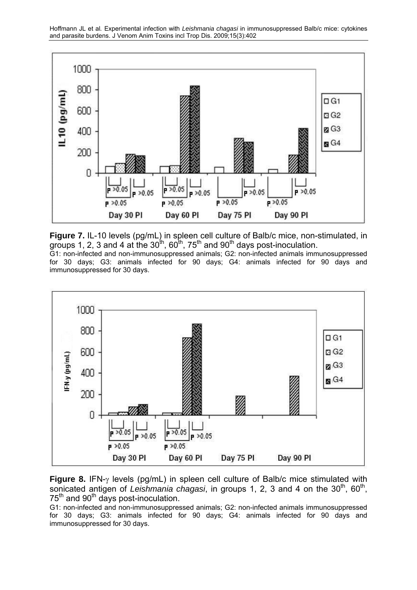

**Figure 7.** IL-10 levels (pg/mL) in spleen cell culture of Balb/c mice, non-stimulated, in groups 1, 2, 3 and 4 at the  $30^{\text{th}}$ , 60<sup>th</sup>, 75<sup>th</sup> and 90<sup>th</sup> days post-inoculation.

G1: non-infected and non-immunosuppressed animals; G2: non-infected animals immunosuppressed for 30 days; G3: animals infected for 90 days; G4: animals infected for 90 days and immunosuppressed for 30 days.



**Figure 8.** IFN-γ levels (pg/mL) in spleen cell culture of Balb/c mice stimulated with sonicated antigen of *Leishmania chagasi*, in groups 1, 2, 3 and 4 on the 30<sup>th</sup>, 60<sup>th</sup>,  $75<sup>th</sup>$  and 90<sup>th</sup> days post-inoculation.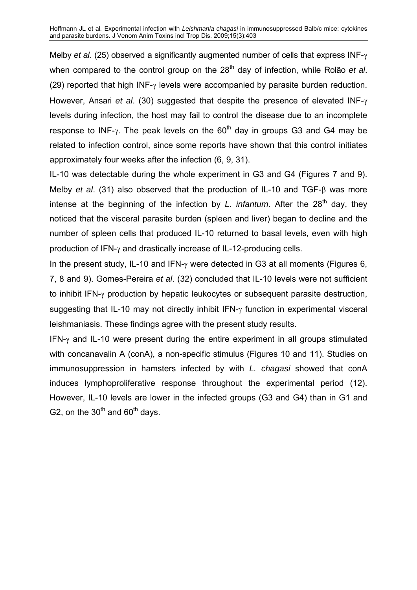Melby *et al*. (25) observed a significantly augmented number of cells that express INF-γ when compared to the control group on the 28<sup>th</sup> day of infection, while Rolão *et al.* (29) reported that high INF-γ levels were accompanied by parasite burden reduction. However, Ansari *et al*. (30) suggested that despite the presence of elevated INF-γ levels during infection, the host may fail to control the disease due to an incomplete response to INF-γ. The peak levels on the  $60<sup>th</sup>$  day in groups G3 and G4 may be related to infection control, since some reports have shown that this control initiates approximately four weeks after the infection (6, 9, 31).

IL-10 was detectable during the whole experiment in G3 and G4 (Figures 7 and 9). Melby *et al*. (31) also observed that the production of IL-10 and TGF-β was more intense at the beginning of the infection by *L. infantum*. After the 28<sup>th</sup> day, they noticed that the visceral parasite burden (spleen and liver) began to decline and the number of spleen cells that produced IL-10 returned to basal levels, even with high production of IFN-γ and drastically increase of IL-12-producing cells.

In the present study, IL-10 and IFN-γ were detected in G3 at all moments (Figures 6, 7, 8 and 9). Gomes-Pereira *et al*. (32) concluded that IL-10 levels were not sufficient to inhibit IFN-γ production by hepatic leukocytes or subsequent parasite destruction, suggesting that IL-10 may not directly inhibit IFN- $\gamma$  function in experimental visceral leishmaniasis. These findings agree with the present study results.

IFN-γ and IL-10 were present during the entire experiment in all groups stimulated with concanavalin A (conA), a non-specific stimulus (Figures 10 and 11). Studies on immunosuppression in hamsters infected by with *L. chagasi* showed that conA induces lymphoproliferative response throughout the experimental period (12). However, IL-10 levels are lower in the infected groups (G3 and G4) than in G1 and G2, on the  $30<sup>th</sup>$  and  $60<sup>th</sup>$  days.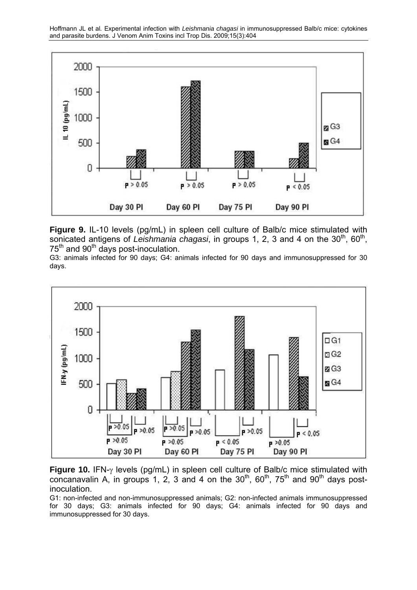

**Figure 9.** IL-10 levels (pg/mL) in spleen cell culture of Balb/c mice stimulated with sonicated antigens of *Leishmania chagasi*, in groups 1, 2, 3 and 4 on the 30<sup>th</sup>, 60<sup>th</sup>, 75<sup>th</sup> and 90<sup>th</sup> days post-inoculation.

G3: animals infected for 90 days; G4: animals infected for 90 days and immunosuppressed for 30 days.



**Figure 10.** IFN-γ levels (pg/mL) in spleen cell culture of Balb/c mice stimulated with concanavalin A, in groups 1, 2, 3 and 4 on the  $30<sup>th</sup>$ , 60<sup>th</sup>, 75<sup>th</sup> and 90<sup>th</sup> days postinoculation.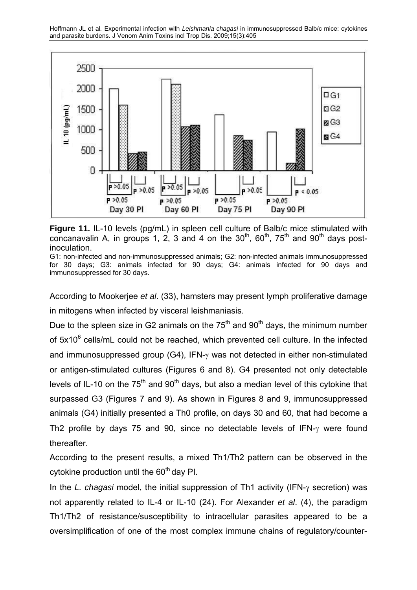

**Figure 11.** IL-10 levels (pg/mL) in spleen cell culture of Balb/c mice stimulated with concanavalin A, in groups 1, 2, 3 and 4 on the  $30^{th}$ ,  $60^{th}$ ,  $75^{th}$  and  $90^{th}$  davs postinoculation.

G1: non-infected and non-immunosuppressed animals; G2: non-infected animals immunosuppressed for 30 days; G3: animals infected for 90 days; G4: animals infected for 90 days and immunosuppressed for 30 days.

According to Mookerjee *et al*. (33), hamsters may present lymph proliferative damage in mitogens when infected by visceral leishmaniasis.

Due to the spleen size in G2 animals on the  $75<sup>th</sup>$  and  $90<sup>th</sup>$  days, the minimum number of 5x10<sup>6</sup> cells/mL could not be reached, which prevented cell culture. In the infected and immunosuppressed group (G4), IFN-γ was not detected in either non-stimulated or antigen-stimulated cultures (Figures 6 and 8). G4 presented not only detectable levels of IL-10 on the  $75<sup>th</sup>$  and  $90<sup>th</sup>$  days, but also a median level of this cytokine that surpassed G3 (Figures 7 and 9). As shown in Figures 8 and 9, immunosuppressed animals (G4) initially presented a Th0 profile, on days 30 and 60, that had become a Th2 profile by days 75 and 90, since no detectable levels of IFN-γ were found thereafter.

According to the present results, a mixed Th1/Th2 pattern can be observed in the cytokine production until the  $60<sup>th</sup>$  day PI.

In the *L. chagasi* model, the initial suppression of Th1 activity (IFN-γ secretion) was not apparently related to IL-4 or IL-10 (24). For Alexander *et al*. (4), the paradigm Th1/Th2 of resistance/susceptibility to intracellular parasites appeared to be a oversimplification of one of the most complex immune chains of regulatory/counter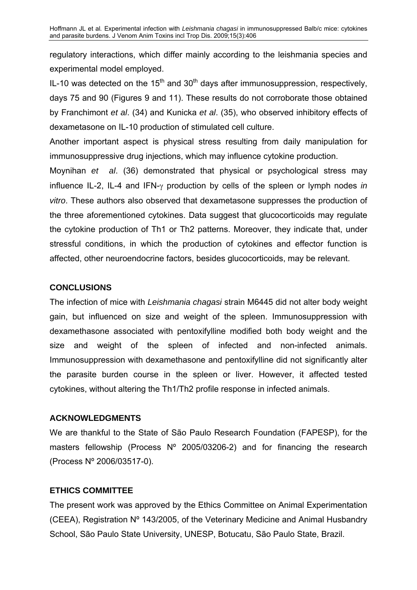regulatory interactions, which differ mainly according to the leishmania species and experimental model employed.

IL-10 was detected on the  $15<sup>th</sup>$  and  $30<sup>th</sup>$  days after immunosuppression, respectively, days 75 and 90 (Figures 9 and 11). These results do not corroborate those obtained by Franchimont *et al*. (34) and Kunicka *et al*. (35), who observed inhibitory effects of dexametasone on IL-10 production of stimulated cell culture.

Another important aspect is physical stress resulting from daily manipulation for immunosuppressive drug injections, which may influence cytokine production.

Moynihan *et al*. (36) demonstrated that physical or psychological stress may influence IL-2, IL-4 and IFN-γ production by cells of the spleen or lymph nodes *in vitro*. These authors also observed that dexametasone suppresses the production of the three aforementioned cytokines. Data suggest that glucocorticoids may regulate the cytokine production of Th1 or Th2 patterns. Moreover, they indicate that, under stressful conditions, in which the production of cytokines and effector function is affected, other neuroendocrine factors, besides glucocorticoids, may be relevant.

## **CONCLUSIONS**

The infection of mice with *Leishmania chagasi* strain M6445 did not alter body weight gain, but influenced on size and weight of the spleen. Immunosuppression with dexamethasone associated with pentoxifylline modified both body weight and the size and weight of the spleen of infected and non-infected animals. Immunosuppression with dexamethasone and pentoxifylline did not significantly alter the parasite burden course in the spleen or liver. However, it affected tested cytokines, without altering the Th1/Th2 profile response in infected animals.

## **ACKNOWLEDGMENTS**

We are thankful to the State of São Paulo Research Foundation (FAPESP), for the masters fellowship (Process Nº 2005/03206-2) and for financing the research (Process Nº 2006/03517-0).

## **ETHICS COMMITTEE**

The present work was approved by the Ethics Committee on Animal Experimentation (CEEA), Registration Nº 143/2005, of the Veterinary Medicine and Animal Husbandry School, São Paulo State University, UNESP, Botucatu, São Paulo State, Brazil.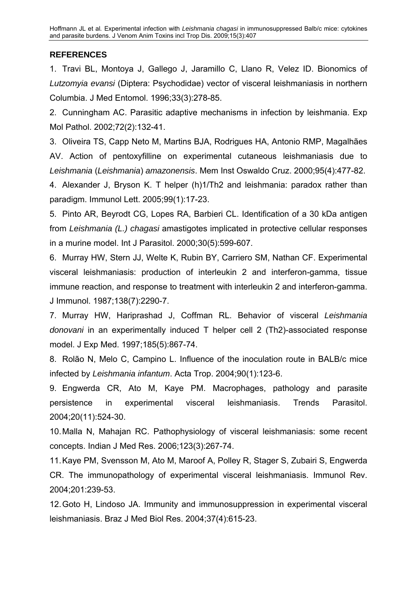# **REFERENCES**

1. Travi BL, Montoya J, Gallego J, Jaramillo C, Llano R, Velez ID. Bionomics of *Lutzomyia evansi* (Diptera: Psychodidae) vector of visceral leishmaniasis in northern Columbia. J Med Entomol. 1996;33(3):278-85.

2. Cunningham AC. Parasitic adaptive mechanisms in infection by leishmania. Exp Mol Pathol. 2002;72(2):132-41.

3. Oliveira TS, Capp Neto M, Martins BJA, Rodrigues HA, Antonio RMP, Magalhães AV. Action of pentoxyfilline on experimental cutaneous leishmaniasis due to *Leishmania* (*Leishmania*) *amazonensis*. Mem Inst Oswaldo Cruz. 2000;95(4):477-82.

4. Alexander J, Bryson K. T helper (h)1/Th2 and leishmania: paradox rather than paradigm. Immunol Lett. 2005;99(1):17-23.

5. Pinto AR, Beyrodt CG, Lopes RA, Barbieri CL. Identification of a 30 kDa antigen from *Leishmania (L.) chagasi* amastigotes implicated in protective cellular responses in a murine model. Int J Parasitol. 2000;30(5):599-607.

6. Murray HW, Stern JJ, Welte K, Rubin BY, Carriero SM, Nathan CF. Experimental visceral leishmaniasis: production of interleukin 2 and interferon-gamma, tissue immune reaction, and response to treatment with interleukin 2 and interferon-gamma. J Immunol. 1987;138(7):2290-7.

7. Murray HW, Hariprashad J, Coffman RL. Behavior of visceral *Leishmania donovani* in an experimentally induced T helper cell 2 (Th2)-associated response model. J Exp Med. 1997;185(5):867-74.

8. Rolão N, Melo C, Campino L. Influence of the inoculation route in BALB/c mice infected by *Leishmania infantum*. Acta Trop. 2004;90(1):123-6.

9. Engwerda CR, Ato M, Kaye PM. Macrophages, pathology and parasite persistence in experimental visceral leishmaniasis. Trends Parasitol. 2004;20(11):524-30.

10. Malla N, Mahajan RC. Pathophysiology of visceral leishmaniasis: some recent concepts. Indian J Med Res. 2006;123(3):267-74.

11. Kaye PM, Svensson M, Ato M, Maroof A, Polley R, Stager S, Zubairi S, [Engwerda](http://www.ncbi.nlm.nih.gov/sites/entrez?Db=pubmed&Cmd=Search&Term=%22Engwerda%20CR%22%5BAuthor%5D&itool=EntrezSystem2.PEntrez.Pubmed.Pubmed_ResultsPanel.Pubmed_DiscoveryPanel.Pubmed_RVAbstractPlus)  [CR](http://www.ncbi.nlm.nih.gov/sites/entrez?Db=pubmed&Cmd=Search&Term=%22Engwerda%20CR%22%5BAuthor%5D&itool=EntrezSystem2.PEntrez.Pubmed.Pubmed_ResultsPanel.Pubmed_DiscoveryPanel.Pubmed_RVAbstractPlus). The immunopathology of experimental visceral leishmaniasis. Immunol Rev. 2004;201:239-53.

12. Goto H, Lindoso JA. Immunity and immunosuppression in experimental visceral leishmaniasis. Braz J Med Biol Res. 2004;37(4):615-23.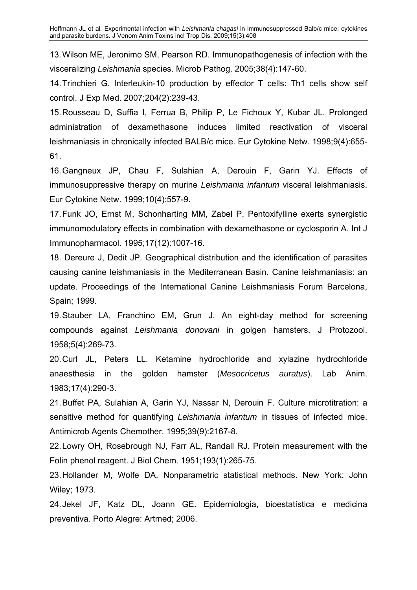13. Wilson ME, Jeronimo SM, Pearson RD. Immunopathogenesis of infection with the visceralizing *Leishmania* species. Microb Pathog. 2005;38(4):147-60.

14. Trinchieri G. Interleukin-10 production by effector T cells: Th1 cells show self control. J Exp Med. 2007;204(2):239-43.

15. Rousseau D, Suffia I, Ferrua B, Philip P, Le Fichoux Y, Kubar JL. Prolonged administration of dexamethasone induces limited reactivation of visceral leishmaniasis in chronically infected BALB/c mice. Eur Cytokine Netw. 1998;9(4):655- 61.

16. Gangneux JP, Chau F, Sulahian A, Derouin F, Garin YJ. Effects of immunosuppressive therapy on murine *Leishmania infantum* visceral leishmaniasis. Eur Cytokine Netw. 1999;10(4):557-9.

17. Funk JO, Ernst M, Schonharting MM, Zabel P. Pentoxifylline exerts synergistic immunomodulatory effects in combination with dexamethasone or cyclosporin A. Int J Immunopharmacol. 1995;17(12):1007-16.

18. Dereure J, Dedit JP. Geographical distribution and the identification of parasites causing canine leishmaniasis in the Mediterranean Basin. Canine leishmaniasis: an update. Proceedings of the International Canine Leishmaniasis Forum Barcelona, Spain; 1999.

19. Stauber LA, Franchino EM, Grun J. An eight-day method for screening compounds against *Leishmania donovani* in golgen hamsters. J Protozool. 1958;5(4):269-73.

20. Curl JL, Peters LL. Ketamine hydrochloride and xylazine hydrochloride anaesthesia in the golden hamster (*Mesocricetus auratus*). Lab Anim. 1983;17(4):290-3.

21. Buffet PA, Sulahian A, Garin YJ, Nassar N, Derouin F. Culture microtitration: a sensitive method for quantifying *Leishmania infantum* in tissues of infected mice. Antimicrob Agents Chemother. 1995;39(9):2167-8.

22. Lowry OH, Rosebrough NJ, Farr AL, Randall RJ. Protein measurement with the Folin phenol reagent. J Biol Chem. 1951;193(1):265-75.

23. Hollander M, Wolfe DA. Nonparametric statistical methods. New York: John Wiley; 1973.

24. Jekel JF, Katz DL, Joann GE. Epidemiologia, bioestatística e medicina preventiva. Porto Alegre: Artmed; 2006.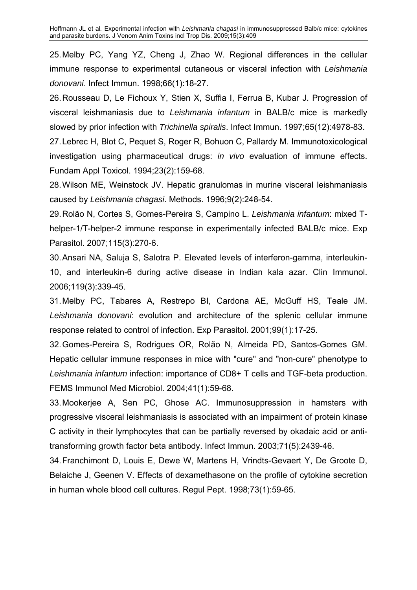25. Melby PC, Yang YZ, Cheng J, Zhao W. Regional differences in the cellular immune response to experimental cutaneous or visceral infection with *Leishmania donovani*. Infect Immun. 1998;66(1):18-27.

26. Rousseau D, Le Fichoux Y, Stien X, Suffia I, Ferrua B, Kubar J. Progression of visceral leishmaniasis due to *Leishmania infantum* in BALB/c mice is markedly slowed by prior infection with *Trichinella spiralis*. Infect Immun. 1997;65(12):4978-83.

27. Lebrec H, Blot C, Pequet S, Roger R, Bohuon C, Pallardy M. Immunotoxicological investigation using pharmaceutical drugs: *in vivo* evaluation of immune effects. Fundam Appl Toxicol. 1994;23(2):159-68.

28. Wilson ME, Weinstock JV. Hepatic granulomas in murine visceral leishmaniasis caused by *Leishmania chagasi*. Methods. 1996;9(2):248-54.

29. Rolão N, Cortes S, Gomes-Pereira S, Campino L. *Leishmania infantum*: mixed Thelper-1/T-helper-2 immune response in experimentally infected BALB/c mice. Exp Parasitol. 2007;115(3):270-6.

30. Ansari NA, Saluja S, Salotra P. Elevated levels of interferon-gamma, interleukin-10, and interleukin-6 during active disease in Indian kala azar. Clin Immunol. 2006;119(3):339-45.

31. Melby PC, Tabares A, Restrepo BI, Cardona AE, McGuff HS, Teale JM. *Leishmania donovani*: evolution and architecture of the splenic cellular immune response related to control of infection. Exp Parasitol. 2001;99(1):17-25.

32. Gomes-Pereira S, Rodrigues OR, Rolão N, Almeida PD, Santos-Gomes GM. Hepatic cellular immune responses in mice with "cure" and "non-cure" phenotype to *Leishmania infantum* infection: importance of CD8+ T cells and TGF-beta production. FEMS Immunol Med Microbiol. 2004;41(1):59-68.

33. Mookerjee A, Sen PC, Ghose AC. Immunosuppression in hamsters with progressive visceral leishmaniasis is associated with an impairment of protein kinase C activity in their lymphocytes that can be partially reversed by okadaic acid or antitransforming growth factor beta antibody. Infect Immun. 2003;71(5):2439-46.

34. Franchimont D, Louis E, Dewe W, Martens H, Vrindts-Gevaert Y, De Groote D, [Belaiche J,](http://www.ncbi.nlm.nih.gov/sites/entrez?Db=pubmed&Cmd=Search&Term=%22Belaiche%20J%22%5BAuthor%5D&itool=EntrezSystem2.PEntrez.Pubmed.Pubmed_ResultsPanel.Pubmed_DiscoveryPanel.Pubmed_RVAbstractPlus) [Geenen V.](http://www.ncbi.nlm.nih.gov/sites/entrez?Db=pubmed&Cmd=Search&Term=%22Geenen%20V%22%5BAuthor%5D&itool=EntrezSystem2.PEntrez.Pubmed.Pubmed_ResultsPanel.Pubmed_DiscoveryPanel.Pubmed_RVAbstractPlus) Effects of dexamethasone on the profile of cytokine secretion in human whole blood cell cultures. Regul Pept. 1998;73(1):59-65.